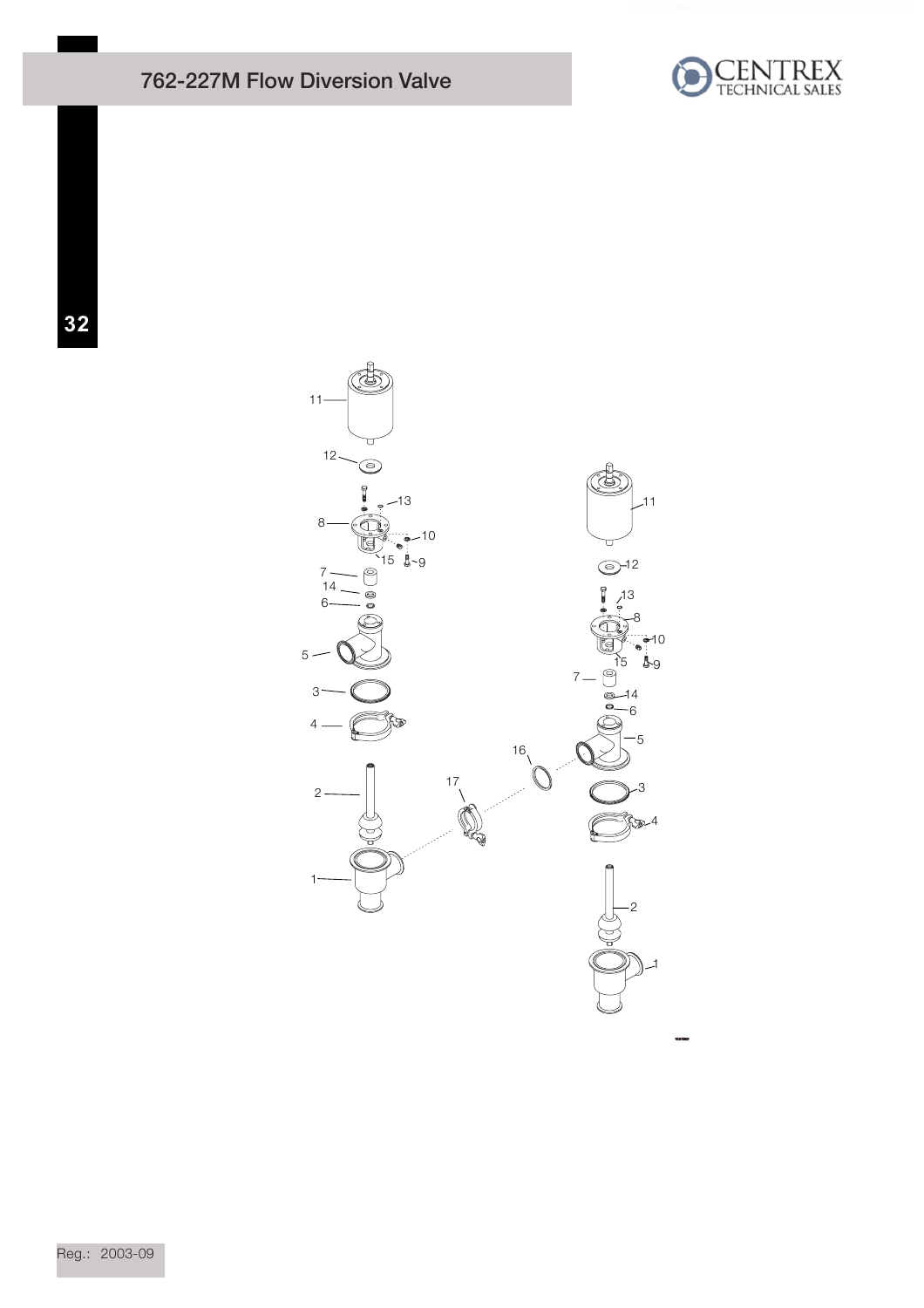## 762-227M Flow Diversion Valve